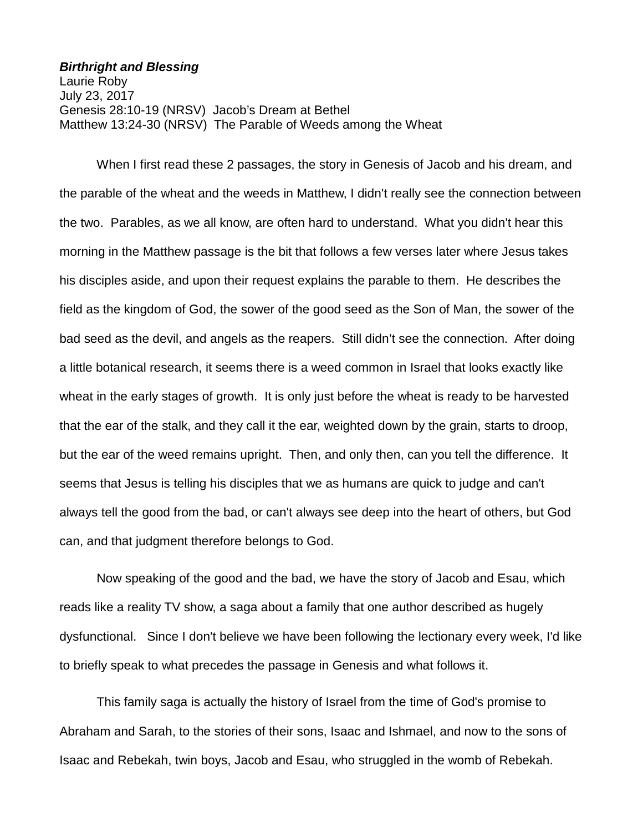## *Birthright and Blessing*

Laurie Roby July 23, 2017 Genesis 28:10-19 (NRSV) Jacob's Dream at Bethel Matthew 13:24-30 (NRSV) The Parable of Weeds among the Wheat

When I first read these 2 passages, the story in Genesis of Jacob and his dream, and the parable of the wheat and the weeds in Matthew, I didn't really see the connection between the two. Parables, as we all know, are often hard to understand. What you didn't hear this morning in the Matthew passage is the bit that follows a few verses later where Jesus takes his disciples aside, and upon their request explains the parable to them. He describes the field as the kingdom of God, the sower of the good seed as the Son of Man, the sower of the bad seed as the devil, and angels as the reapers. Still didn't see the connection. After doing a little botanical research, it seems there is a weed common in Israel that looks exactly like wheat in the early stages of growth. It is only just before the wheat is ready to be harvested that the ear of the stalk, and they call it the ear, weighted down by the grain, starts to droop, but the ear of the weed remains upright. Then, and only then, can you tell the difference. It seems that Jesus is telling his disciples that we as humans are quick to judge and can't always tell the good from the bad, or can't always see deep into the heart of others, but God can, and that judgment therefore belongs to God.

Now speaking of the good and the bad, we have the story of Jacob and Esau, which reads like a reality TV show, a saga about a family that one author described as hugely dysfunctional. Since I don't believe we have been following the lectionary every week, I'd like to briefly speak to what precedes the passage in Genesis and what follows it.

This family saga is actually the history of Israel from the time of God's promise to Abraham and Sarah, to the stories of their sons, Isaac and Ishmael, and now to the sons of Isaac and Rebekah, twin boys, Jacob and Esau, who struggled in the womb of Rebekah.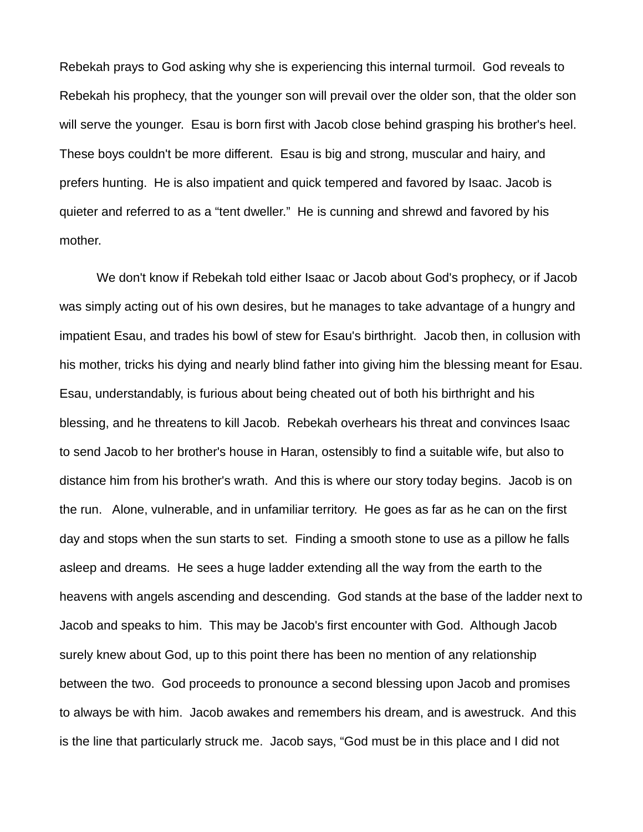Rebekah prays to God asking why she is experiencing this internal turmoil. God reveals to Rebekah his prophecy, that the younger son will prevail over the older son, that the older son will serve the younger. Esau is born first with Jacob close behind grasping his brother's heel. These boys couldn't be more different. Esau is big and strong, muscular and hairy, and prefers hunting. He is also impatient and quick tempered and favored by Isaac. Jacob is quieter and referred to as a "tent dweller." He is cunning and shrewd and favored by his mother.

We don't know if Rebekah told either Isaac or Jacob about God's prophecy, or if Jacob was simply acting out of his own desires, but he manages to take advantage of a hungry and impatient Esau, and trades his bowl of stew for Esau's birthright. Jacob then, in collusion with his mother, tricks his dying and nearly blind father into giving him the blessing meant for Esau. Esau, understandably, is furious about being cheated out of both his birthright and his blessing, and he threatens to kill Jacob. Rebekah overhears his threat and convinces Isaac to send Jacob to her brother's house in Haran, ostensibly to find a suitable wife, but also to distance him from his brother's wrath. And this is where our story today begins. Jacob is on the run. Alone, vulnerable, and in unfamiliar territory. He goes as far as he can on the first day and stops when the sun starts to set. Finding a smooth stone to use as a pillow he falls asleep and dreams. He sees a huge ladder extending all the way from the earth to the heavens with angels ascending and descending. God stands at the base of the ladder next to Jacob and speaks to him. This may be Jacob's first encounter with God. Although Jacob surely knew about God, up to this point there has been no mention of any relationship between the two. God proceeds to pronounce a second blessing upon Jacob and promises to always be with him. Jacob awakes and remembers his dream, and is awestruck. And this is the line that particularly struck me. Jacob says, "God must be in this place and I did not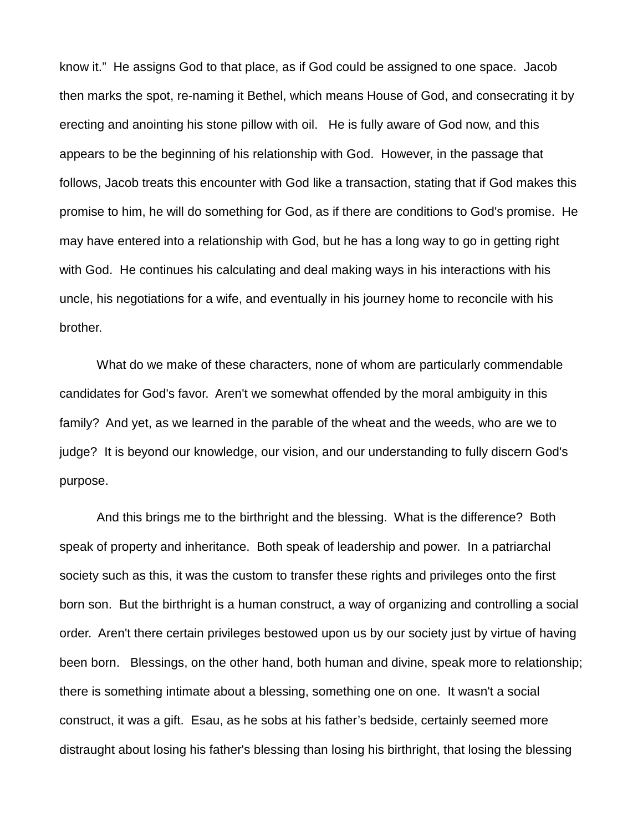know it." He assigns God to that place, as if God could be assigned to one space. Jacob then marks the spot, re-naming it Bethel, which means House of God, and consecrating it by erecting and anointing his stone pillow with oil. He is fully aware of God now, and this appears to be the beginning of his relationship with God. However, in the passage that follows, Jacob treats this encounter with God like a transaction, stating that if God makes this promise to him, he will do something for God, as if there are conditions to God's promise. He may have entered into a relationship with God, but he has a long way to go in getting right with God. He continues his calculating and deal making ways in his interactions with his uncle, his negotiations for a wife, and eventually in his journey home to reconcile with his brother.

What do we make of these characters, none of whom are particularly commendable candidates for God's favor. Aren't we somewhat offended by the moral ambiguity in this family? And yet, as we learned in the parable of the wheat and the weeds, who are we to judge? It is beyond our knowledge, our vision, and our understanding to fully discern God's purpose.

And this brings me to the birthright and the blessing. What is the difference? Both speak of property and inheritance. Both speak of leadership and power. In a patriarchal society such as this, it was the custom to transfer these rights and privileges onto the first born son. But the birthright is a human construct, a way of organizing and controlling a social order. Aren't there certain privileges bestowed upon us by our society just by virtue of having been born. Blessings, on the other hand, both human and divine, speak more to relationship; there is something intimate about a blessing, something one on one. It wasn't a social construct, it was a gift. Esau, as he sobs at his father's bedside, certainly seemed more distraught about losing his father's blessing than losing his birthright, that losing the blessing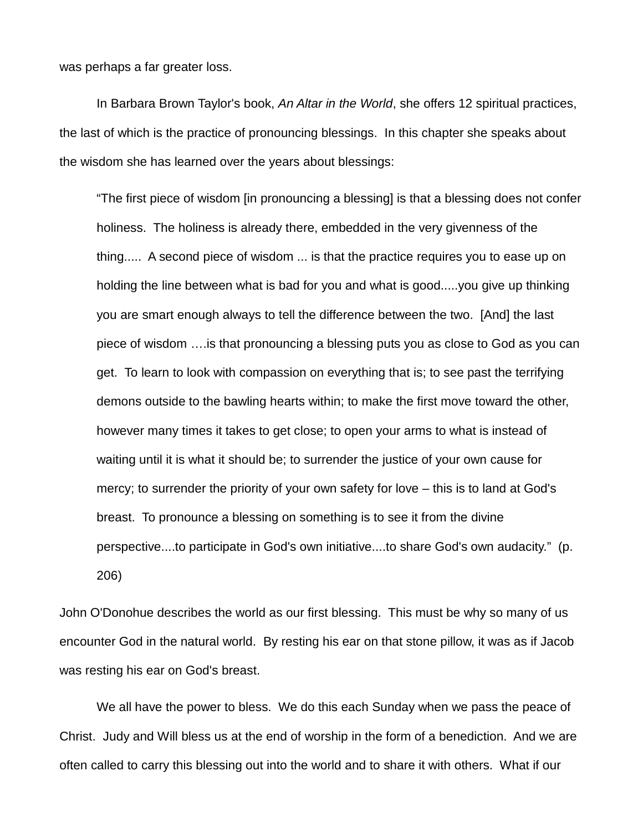was perhaps a far greater loss.

In Barbara Brown Taylor's book, *An Altar in the World*, she offers 12 spiritual practices, the last of which is the practice of pronouncing blessings. In this chapter she speaks about the wisdom she has learned over the years about blessings:

"The first piece of wisdom [in pronouncing a blessing] is that a blessing does not confer holiness. The holiness is already there, embedded in the very givenness of the thing..... A second piece of wisdom ... is that the practice requires you to ease up on holding the line between what is bad for you and what is good.....you give up thinking you are smart enough always to tell the difference between the two. [And] the last piece of wisdom ….is that pronouncing a blessing puts you as close to God as you can get. To learn to look with compassion on everything that is; to see past the terrifying demons outside to the bawling hearts within; to make the first move toward the other, however many times it takes to get close; to open your arms to what is instead of waiting until it is what it should be; to surrender the justice of your own cause for mercy; to surrender the priority of your own safety for love – this is to land at God's breast. To pronounce a blessing on something is to see it from the divine perspective....to participate in God's own initiative....to share God's own audacity." (p. 206)

John O'Donohue describes the world as our first blessing. This must be why so many of us encounter God in the natural world. By resting his ear on that stone pillow, it was as if Jacob was resting his ear on God's breast.

We all have the power to bless. We do this each Sunday when we pass the peace of Christ. Judy and Will bless us at the end of worship in the form of a benediction. And we are often called to carry this blessing out into the world and to share it with others. What if our